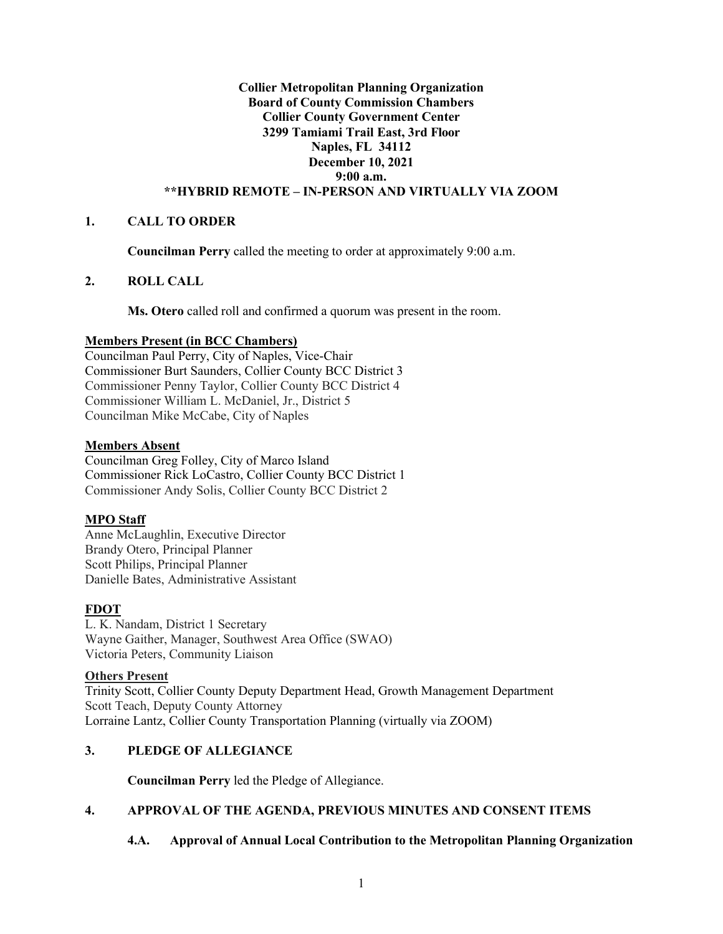# **Collier Metropolitan Planning Organization Board of County Commission Chambers Collier County Government Center 3299 Tamiami Trail East, 3rd Floor Naples, FL 34112 December 10, 2021 9:00 a.m. \*\*HYBRID REMOTE – IN-PERSON AND VIRTUALLY VIA ZOOM**

## **1. CALL TO ORDER**

**Councilman Perry** called the meeting to order at approximately 9:00 a.m.

## **2. ROLL CALL**

**Ms. Otero** called roll and confirmed a quorum was present in the room.

## **Members Present (in BCC Chambers)**

Councilman Paul Perry, City of Naples, Vice-Chair Commissioner Burt Saunders, Collier County BCC District 3 Commissioner Penny Taylor, Collier County BCC District 4 Commissioner William L. McDaniel, Jr., District 5 Councilman Mike McCabe, City of Naples

#### **Members Absent**

Councilman Greg Folley, City of Marco Island Commissioner Rick LoCastro, Collier County BCC District 1 Commissioner Andy Solis, Collier County BCC District 2

## **MPO Staff**

Anne McLaughlin, Executive Director Brandy Otero, Principal Planner Scott Philips, Principal Planner Danielle Bates, Administrative Assistant

# **FDOT**

L. K. Nandam, District 1 Secretary Wayne Gaither, Manager, Southwest Area Office (SWAO) Victoria Peters, Community Liaison

#### **Others Present**

Trinity Scott, Collier County Deputy Department Head, Growth Management Department Scott Teach, Deputy County Attorney Lorraine Lantz, Collier County Transportation Planning (virtually via ZOOM)

## **3. PLEDGE OF ALLEGIANCE**

**Councilman Perry** led the Pledge of Allegiance.

# **4. APPROVAL OF THE AGENDA, PREVIOUS MINUTES AND CONSENT ITEMS**

## **4.A. Approval of Annual Local Contribution to the Metropolitan Planning Organization**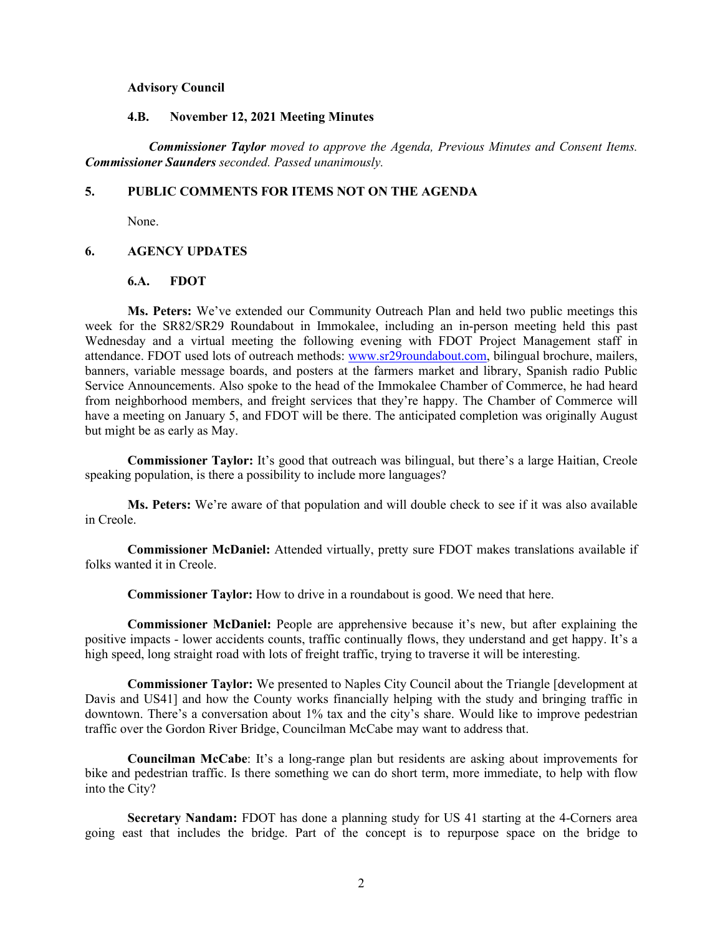#### **Advisory Council**

#### **4.B. November 12, 2021 Meeting Minutes**

*Commissioner Taylor moved to approve the Agenda, Previous Minutes and Consent Items. Commissioner Saunders seconded. Passed unanimously.*

#### **5. PUBLIC COMMENTS FOR ITEMS NOT ON THE AGENDA**

None.

#### **6. AGENCY UPDATES**

#### **6.A. FDOT**

**Ms. Peters:** We've extended our Community Outreach Plan and held two public meetings this week for the SR82/SR29 Roundabout in Immokalee, including an in-person meeting held this past Wednesday and a virtual meeting the following evening with FDOT Project Management staff in attendance. FDOT used lots of outreach methods: [www.sr29roundabout.com,](http://www.sr29roundabout.com/) bilingual brochure, mailers, banners, variable message boards, and posters at the farmers market and library, Spanish radio Public Service Announcements. Also spoke to the head of the Immokalee Chamber of Commerce, he had heard from neighborhood members, and freight services that they're happy. The Chamber of Commerce will have a meeting on January 5, and FDOT will be there. The anticipated completion was originally August but might be as early as May.

**Commissioner Taylor:** It's good that outreach was bilingual, but there's a large Haitian, Creole speaking population, is there a possibility to include more languages?

**Ms. Peters:** We're aware of that population and will double check to see if it was also available in Creole.

**Commissioner McDaniel:** Attended virtually, pretty sure FDOT makes translations available if folks wanted it in Creole.

**Commissioner Taylor:** How to drive in a roundabout is good. We need that here.

**Commissioner McDaniel:** People are apprehensive because it's new, but after explaining the positive impacts - lower accidents counts, traffic continually flows, they understand and get happy. It's a high speed, long straight road with lots of freight traffic, trying to traverse it will be interesting.

**Commissioner Taylor:** We presented to Naples City Council about the Triangle [development at Davis and US41] and how the County works financially helping with the study and bringing traffic in downtown. There's a conversation about 1% tax and the city's share. Would like to improve pedestrian traffic over the Gordon River Bridge, Councilman McCabe may want to address that.

**Councilman McCabe**: It's a long-range plan but residents are asking about improvements for bike and pedestrian traffic. Is there something we can do short term, more immediate, to help with flow into the City?

**Secretary Nandam:** FDOT has done a planning study for US 41 starting at the 4-Corners area going east that includes the bridge. Part of the concept is to repurpose space on the bridge to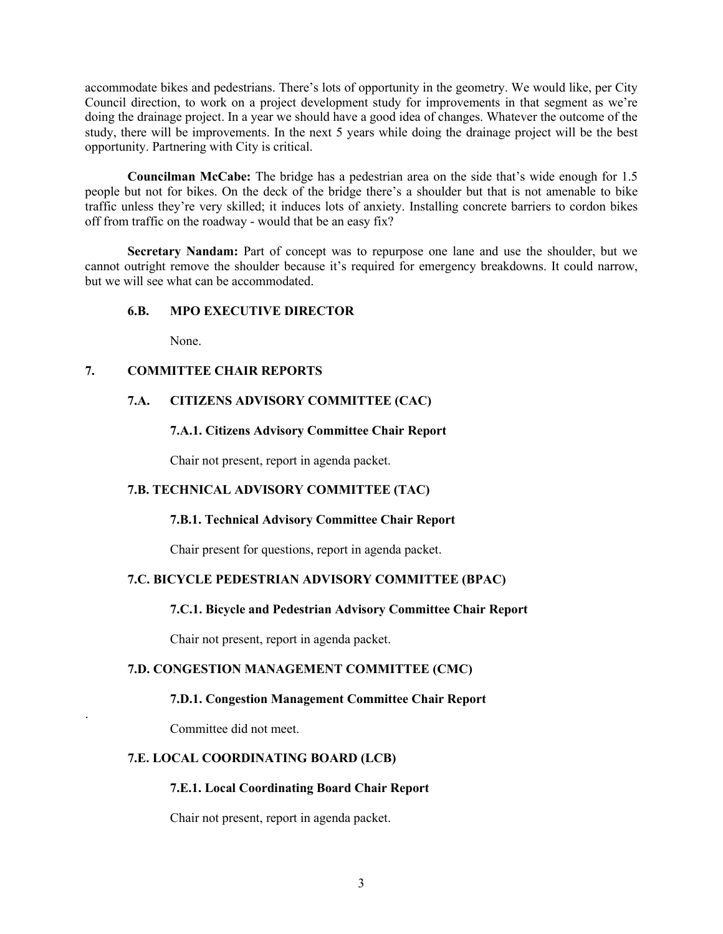accommodate bikes and pedestrians. There's lots of opportunity in the geometry. We would like, per City Council direction, to work on a project development study for improvements in that segment as we're doing the drainage project. In a year we should have a good idea of changes. Whatever the outcome of the study, there will be improvements. In the next 5 years while doing the drainage project will be the best opportunity. Partnering with City is critical.

**Councilman McCabe:** The bridge has a pedestrian area on the side that's wide enough for 1.5 people but not for bikes. On the deck of the bridge there's a shoulder but that is not amenable to bike traffic unless they're very skilled; it induces lots of anxiety. Installing concrete barriers to cordon bikes off from traffic on the roadway - would that be an easy fix?

**Secretary Nandam:** Part of concept was to repurpose one lane and use the shoulder, but we cannot outright remove the shoulder because it's required for emergency breakdowns. It could narrow, but we will see what can be accommodated.

#### **6.B. MPO EXECUTIVE DIRECTOR**

None.

## **7. COMMITTEE CHAIR REPORTS**

## **7.A. CITIZENS ADVISORY COMMITTEE (CAC)**

#### **7.A.1. Citizens Advisory Committee Chair Report**

Chair not present, report in agenda packet.

## **7.B. TECHNICAL ADVISORY COMMITTEE (TAC)**

## **7.B.1. Technical Advisory Committee Chair Report**

Chair present for questions, report in agenda packet.

## **7.C. BICYCLE PEDESTRIAN ADVISORY COMMITTEE (BPAC)**

## **7.C.1. Bicycle and Pedestrian Advisory Committee Chair Report**

Chair not present, report in agenda packet.

# **7.D. CONGESTION MANAGEMENT COMMITTEE (CMC)**

#### **7.D.1. Congestion Management Committee Chair Report**

Committee did not meet.

.

## **7.E. LOCAL COORDINATING BOARD (LCB)**

## **7.E.1. Local Coordinating Board Chair Report**

Chair not present, report in agenda packet.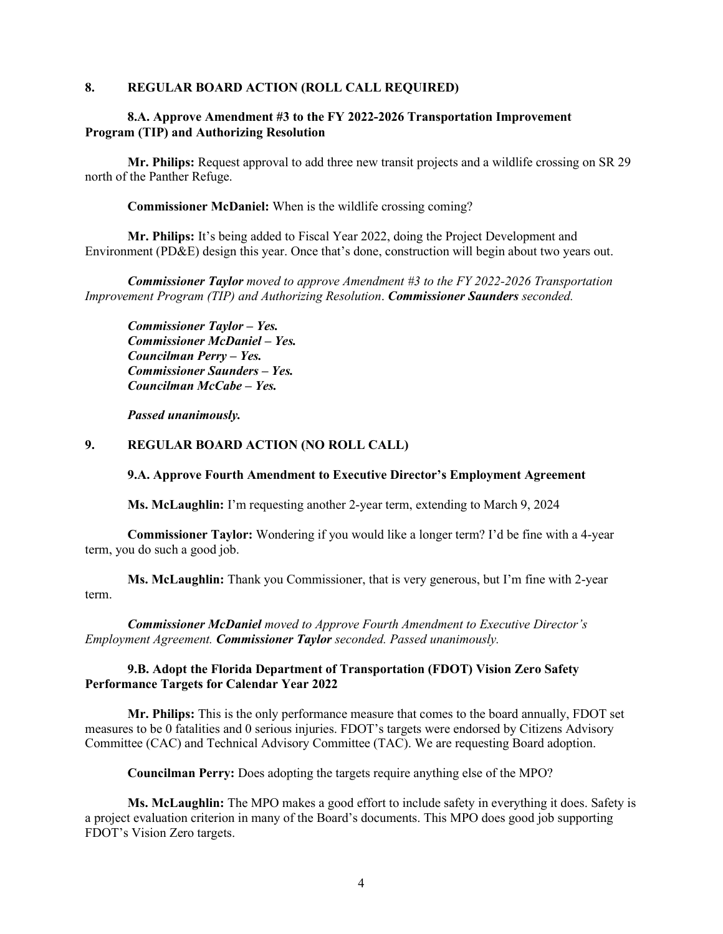#### **8. REGULAR BOARD ACTION (ROLL CALL REQUIRED)**

## **8.A. Approve Amendment #3 to the FY 2022-2026 Transportation Improvement Program (TIP) and Authorizing Resolution**

**Mr. Philips:** Request approval to add three new transit projects and a wildlife crossing on SR 29 north of the Panther Refuge.

**Commissioner McDaniel:** When is the wildlife crossing coming?

**Mr. Philips:** It's being added to Fiscal Year 2022, doing the Project Development and Environment (PD&E) design this year. Once that's done, construction will begin about two years out.

*Commissioner Taylor moved to approve Amendment #3 to the FY 2022-2026 Transportation Improvement Program (TIP) and Authorizing Resolution*. *Commissioner Saunders seconded.* 

*Commissioner Taylor – Yes. Commissioner McDaniel – Yes. Councilman Perry – Yes. Commissioner Saunders – Yes. Councilman McCabe – Yes.*

*Passed unanimously.* 

## **9. REGULAR BOARD ACTION (NO ROLL CALL)**

#### **9.A. Approve Fourth Amendment to Executive Director's Employment Agreement**

**Ms. McLaughlin:** I'm requesting another 2-year term, extending to March 9, 2024

**Commissioner Taylor:** Wondering if you would like a longer term? I'd be fine with a 4-year term, you do such a good job.

**Ms. McLaughlin:** Thank you Commissioner, that is very generous, but I'm fine with 2-year term.

*Commissioner McDaniel moved to Approve Fourth Amendment to Executive Director's Employment Agreement. Commissioner Taylor seconded. Passed unanimously.* 

## **9.B. Adopt the Florida Department of Transportation (FDOT) Vision Zero Safety Performance Targets for Calendar Year 2022**

**Mr. Philips:** This is the only performance measure that comes to the board annually, FDOT set measures to be 0 fatalities and 0 serious injuries. FDOT's targets were endorsed by Citizens Advisory Committee (CAC) and Technical Advisory Committee (TAC). We are requesting Board adoption.

**Councilman Perry:** Does adopting the targets require anything else of the MPO?

**Ms. McLaughlin:** The MPO makes a good effort to include safety in everything it does. Safety is a project evaluation criterion in many of the Board's documents. This MPO does good job supporting FDOT's Vision Zero targets.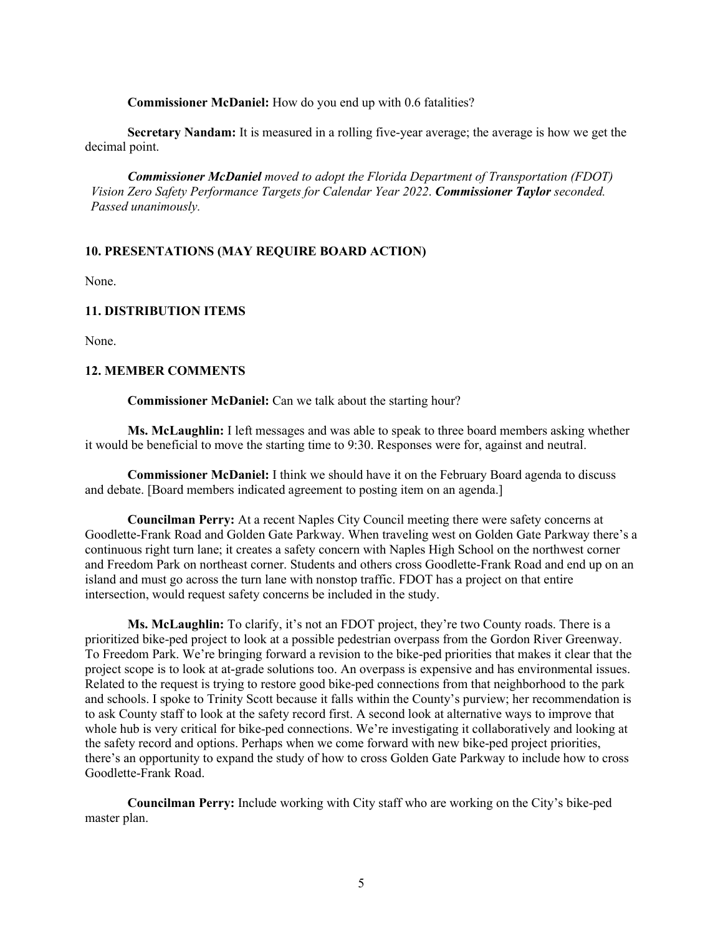**Commissioner McDaniel:** How do you end up with 0.6 fatalities?

**Secretary Nandam:** It is measured in a rolling five-year average; the average is how we get the decimal point.

*Commissioner McDaniel moved to adopt the Florida Department of Transportation (FDOT) Vision Zero Safety Performance Targets for Calendar Year 2022*. *Commissioner Taylor seconded. Passed unanimously.*

## **10. PRESENTATIONS (MAY REQUIRE BOARD ACTION)**

None.

#### **11. DISTRIBUTION ITEMS**

None.

#### **12. MEMBER COMMENTS**

**Commissioner McDaniel:** Can we talk about the starting hour?

**Ms. McLaughlin:** I left messages and was able to speak to three board members asking whether it would be beneficial to move the starting time to 9:30. Responses were for, against and neutral.

**Commissioner McDaniel:** I think we should have it on the February Board agenda to discuss and debate. [Board members indicated agreement to posting item on an agenda.]

**Councilman Perry:** At a recent Naples City Council meeting there were safety concerns at Goodlette-Frank Road and Golden Gate Parkway. When traveling west on Golden Gate Parkway there's a continuous right turn lane; it creates a safety concern with Naples High School on the northwest corner and Freedom Park on northeast corner. Students and others cross Goodlette-Frank Road and end up on an island and must go across the turn lane with nonstop traffic. FDOT has a project on that entire intersection, would request safety concerns be included in the study.

**Ms. McLaughlin:** To clarify, it's not an FDOT project, they're two County roads. There is a prioritized bike-ped project to look at a possible pedestrian overpass from the Gordon River Greenway. To Freedom Park. We're bringing forward a revision to the bike-ped priorities that makes it clear that the project scope is to look at at-grade solutions too. An overpass is expensive and has environmental issues. Related to the request is trying to restore good bike-ped connections from that neighborhood to the park and schools. I spoke to Trinity Scott because it falls within the County's purview; her recommendation is to ask County staff to look at the safety record first. A second look at alternative ways to improve that whole hub is very critical for bike-ped connections. We're investigating it collaboratively and looking at the safety record and options. Perhaps when we come forward with new bike-ped project priorities, there's an opportunity to expand the study of how to cross Golden Gate Parkway to include how to cross Goodlette-Frank Road.

**Councilman Perry:** Include working with City staff who are working on the City's bike-ped master plan.